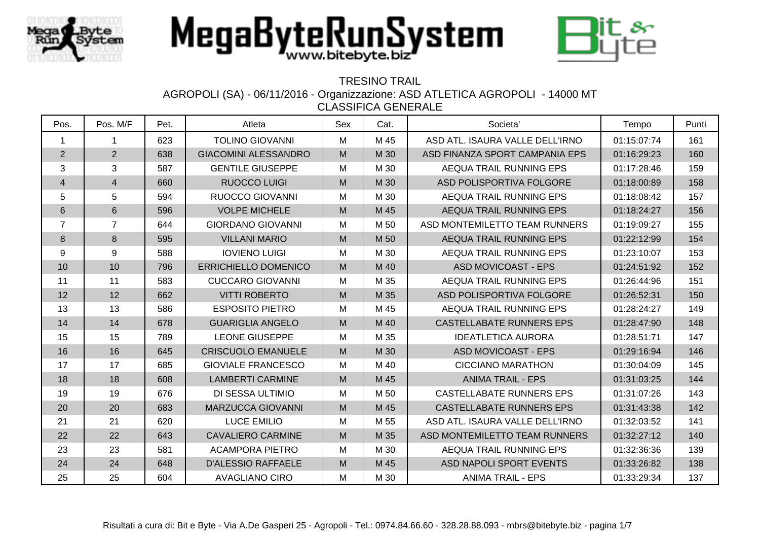



#### TRESINO TRAIL

AGROPOLI (SA) - 06/11/2016 - Organizzazione: ASD ATLETICA AGROPOLI - 14000 MT

| Pos.                     | Pos. M/F       | Pet. | Atleta                      | Sex | Cat. | Societa'                        | Tempo       | Punti |
|--------------------------|----------------|------|-----------------------------|-----|------|---------------------------------|-------------|-------|
| $\mathbf 1$              | $\mathbf 1$    | 623  | <b>TOLINO GIOVANNI</b>      | М   | M 45 | ASD ATL. ISAURA VALLE DELL'IRNO | 01:15:07:74 | 161   |
| 2                        | 2              | 638  | <b>GIACOMINI ALESSANDRO</b> | M   | M 30 | ASD FINANZA SPORT CAMPANIA EPS  | 01:16:29:23 | 160   |
| $\mathbf{3}$             | 3              | 587  | <b>GENTILE GIUSEPPE</b>     | M   | M 30 | AEQUA TRAIL RUNNING EPS         | 01:17:28:46 | 159   |
| $\overline{\mathcal{L}}$ | 4              | 660  | <b>RUOCCO LUIGI</b>         | M   | M 30 | ASD POLISPORTIVA FOLGORE        | 01:18:00:89 | 158   |
| 5                        | 5              | 594  | <b>RUOCCO GIOVANNI</b>      | M   | M 30 | AEQUA TRAIL RUNNING EPS         | 01:18:08:42 | 157   |
| $6\phantom{1}$           | $6\,$          | 596  | <b>VOLPE MICHELE</b>        | M   | M 45 | AEQUA TRAIL RUNNING EPS         | 01:18:24:27 | 156   |
| $\overline{7}$           | $\overline{7}$ | 644  | <b>GIORDANO GIOVANNI</b>    | M   | M 50 | ASD MONTEMILETTO TEAM RUNNERS   | 01:19:09:27 | 155   |
| 8                        | 8              | 595  | <b>VILLANI MARIO</b>        | M   | M 50 | AEQUA TRAIL RUNNING EPS         | 01:22:12:99 | 154   |
| 9                        | 9              | 588  | <b>IOVIENO LUIGI</b>        | M   | M 30 | AEQUA TRAIL RUNNING EPS         | 01:23:10:07 | 153   |
| 10                       | 10             | 796  | <b>ERRICHIELLO DOMENICO</b> | M   | M 40 | <b>ASD MOVICOAST - EPS</b>      | 01:24:51:92 | 152   |
| 11                       | 11             | 583  | <b>CUCCARO GIOVANNI</b>     | M   | M 35 | AEQUA TRAIL RUNNING EPS         | 01:26:44:96 | 151   |
| 12                       | 12             | 662  | <b>VITTI ROBERTO</b>        | M   | M 35 | ASD POLISPORTIVA FOLGORE        | 01:26:52:31 | 150   |
| 13                       | 13             | 586  | <b>ESPOSITO PIETRO</b>      | M   | M 45 | AEQUA TRAIL RUNNING EPS         | 01:28:24:27 | 149   |
| 14                       | 14             | 678  | <b>GUARIGLIA ANGELO</b>     | M   | M 40 | <b>CASTELLABATE RUNNERS EPS</b> | 01:28:47:90 | 148   |
| 15                       | 15             | 789  | <b>LEONE GIUSEPPE</b>       | M   | M 35 | <b>IDEATLETICA AURORA</b>       | 01:28:51:71 | 147   |
| 16                       | 16             | 645  | <b>CRISCUOLO EMANUELE</b>   | M   | M 30 | <b>ASD MOVICOAST - EPS</b>      | 01:29:16:94 | 146   |
| 17                       | 17             | 685  | <b>GIOVIALE FRANCESCO</b>   | M   | M 40 | <b>CICCIANO MARATHON</b>        | 01:30:04:09 | 145   |
| 18                       | 18             | 608  | <b>LAMBERTI CARMINE</b>     | M   | M 45 | <b>ANIMA TRAIL - EPS</b>        | 01:31:03:25 | 144   |
| 19                       | 19             | 676  | DI SESSA ULTIMIO            | M   | M 50 | CASTELLABATE RUNNERS EPS        | 01:31:07:26 | 143   |
| 20                       | 20             | 683  | <b>MARZUCCA GIOVANNI</b>    | M   | M 45 | <b>CASTELLABATE RUNNERS EPS</b> | 01:31:43:38 | 142   |
| 21                       | 21             | 620  | <b>LUCE EMILIO</b>          | M   | M 55 | ASD ATL. ISAURA VALLE DELL'IRNO | 01:32:03:52 | 141   |
| 22                       | 22             | 643  | <b>CAVALIERO CARMINE</b>    | M   | M 35 | ASD MONTEMILETTO TEAM RUNNERS   | 01:32:27:12 | 140   |
| 23                       | 23             | 581  | <b>ACAMPORA PIETRO</b>      | M   | M 30 | AEQUA TRAIL RUNNING EPS         | 01:32:36:36 | 139   |
| 24                       | 24             | 648  | <b>D'ALESSIO RAFFAELE</b>   | M   | M 45 | ASD NAPOLI SPORT EVENTS         | 01:33:26:82 | 138   |
| 25                       | 25             | 604  | <b>AVAGLIANO CIRO</b>       | M   | M 30 | <b>ANIMA TRAIL - EPS</b>        | 01:33:29:34 | 137   |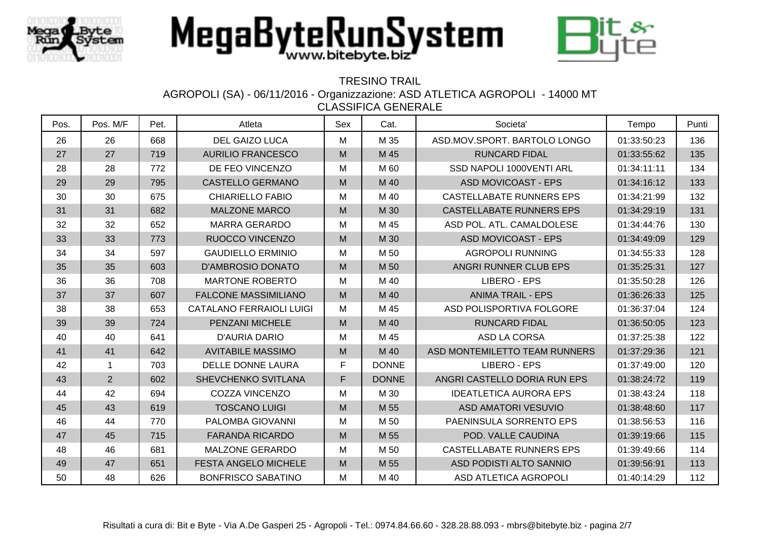



### TRESINO TRAIL

AGROPOLI (SA) - 06/11/2016 - Organizzazione: ASD ATLETICA AGROPOLI - 14000 MT

| Pos. | Pos. M/F       | Pet. | Atleta                          | Sex | Cat.         | Societa'                        | Tempo       | Punti |
|------|----------------|------|---------------------------------|-----|--------------|---------------------------------|-------------|-------|
| 26   | 26             | 668  | <b>DEL GAIZO LUCA</b>           | М   | M 35         | ASD.MOV.SPORT. BARTOLO LONGO    | 01:33:50:23 | 136   |
| 27   | 27             | 719  | <b>AURILIO FRANCESCO</b>        | M   | M 45         | <b>RUNCARD FIDAL</b>            | 01:33:55:62 | 135   |
| 28   | 28             | 772  | DE FEO VINCENZO                 | M   | M 60         | SSD NAPOLI 1000VENTI ARL        | 01:34:11:11 | 134   |
| 29   | 29             | 795  | <b>CASTELLO GERMANO</b>         | M   | M 40         | <b>ASD MOVICOAST - EPS</b>      | 01:34:16:12 | 133   |
| 30   | 30             | 675  | <b>CHIARIELLO FABIO</b>         | M   | M 40         | CASTELLABATE RUNNERS EPS        | 01:34:21:99 | 132   |
| 31   | 31             | 682  | <b>MALZONE MARCO</b>            | M   | M 30         | <b>CASTELLABATE RUNNERS EPS</b> | 01:34:29:19 | 131   |
| 32   | 32             | 652  | <b>MARRA GERARDO</b>            | M   | M 45         | ASD POL. ATL. CAMALDOLESE       | 01:34:44:76 | 130   |
| 33   | 33             | 773  | RUOCCO VINCENZO                 | M   | M 30         | <b>ASD MOVICOAST - EPS</b>      | 01:34:49:09 | 129   |
| 34   | 34             | 597  | <b>GAUDIELLO ERMINIO</b>        | м   | M 50         | <b>AGROPOLI RUNNING</b>         | 01:34:55:33 | 128   |
| 35   | 35             | 603  | <b>D'AMBROSIO DONATO</b>        | M   | M 50         | ANGRI RUNNER CLUB EPS           | 01:35:25:31 | 127   |
| 36   | 36             | 708  | <b>MARTONE ROBERTO</b>          | M   | M 40         | LIBERO - EPS                    | 01:35:50:28 | 126   |
| 37   | 37             | 607  | <b>FALCONE MASSIMILIANO</b>     | M   | M 40         | <b>ANIMA TRAIL - EPS</b>        | 01:36:26:33 | 125   |
| 38   | 38             | 653  | <b>CATALANO FERRAIOLI LUIGI</b> | M   | M 45         | ASD POLISPORTIVA FOLGORE        | 01:36:37:04 | 124   |
| 39   | 39             | 724  | PENZANI MICHELE                 | M   | M 40         | <b>RUNCARD FIDAL</b>            | 01:36:50:05 | 123   |
| 40   | 40             | 641  | <b>D'AURIA DARIO</b>            | M   | M 45         | <b>ASD LA CORSA</b>             | 01:37:25:38 | 122   |
| 41   | 41             | 642  | <b>AVITABILE MASSIMO</b>        | M   | M 40         | ASD MONTEMILETTO TEAM RUNNERS   | 01:37:29:36 | 121   |
| 42   | -1             | 703  | <b>DELLE DONNE LAURA</b>        | F   | <b>DONNE</b> | LIBERO - EPS                    | 01:37:49:00 | 120   |
| 43   | $\overline{2}$ | 602  | SHEVCHENKO SVITLANA             | F   | <b>DONNE</b> | ANGRI CASTELLO DORIA RUN EPS    | 01:38:24:72 | 119   |
| 44   | 42             | 694  | <b>COZZA VINCENZO</b>           | M   | M 30         | <b>IDEATLETICA AURORA EPS</b>   | 01:38:43:24 | 118   |
| 45   | 43             | 619  | <b>TOSCANO LUIGI</b>            | M   | M 55         | <b>ASD AMATORI VESUVIO</b>      | 01:38:48:60 | 117   |
| 46   | 44             | 770  | PALOMBA GIOVANNI                | M   | M 50         | PAENINSULA SORRENTO EPS         | 01:38:56:53 | 116   |
| 47   | 45             | 715  | <b>FARANDA RICARDO</b>          | M   | M 55         | POD. VALLE CAUDINA              | 01:39:19:66 | 115   |
| 48   | 46             | 681  | MALZONE GERARDO                 | M   | M 50         | <b>CASTELLABATE RUNNERS EPS</b> | 01:39:49:66 | 114   |
| 49   | 47             | 651  | <b>FESTA ANGELO MICHELE</b>     | M   | M 55         | ASD PODISTI ALTO SANNIO         | 01:39:56:91 | 113   |
| 50   | 48             | 626  | <b>BONFRISCO SABATINO</b>       | M   | M 40         | ASD ATLETICA AGROPOLI           | 01:40:14:29 | 112   |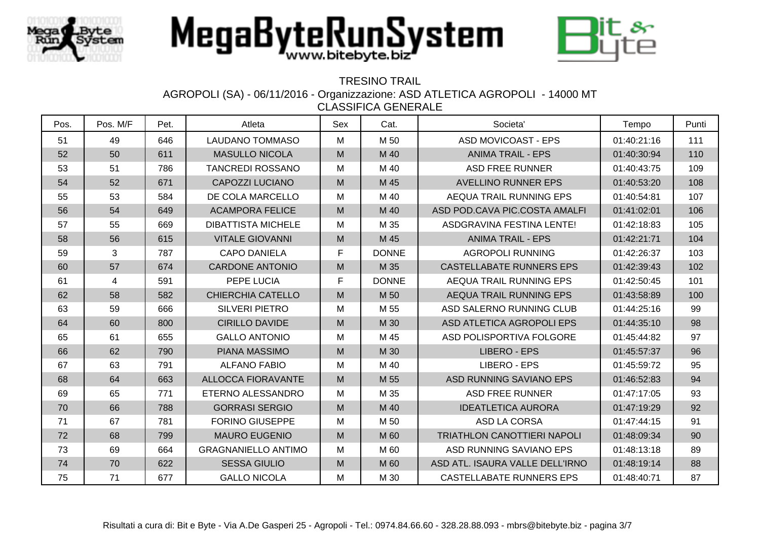



### TRESINO TRAIL

AGROPOLI (SA) - 06/11/2016 - Organizzazione: ASD ATLETICA AGROPOLI - 14000 MT

| Pos. | Pos. M/F | Pet. | Atleta                     | Sex | Cat.         | Societa'                        | Tempo       | Punti |
|------|----------|------|----------------------------|-----|--------------|---------------------------------|-------------|-------|
| 51   | 49       | 646  | <b>LAUDANO TOMMASO</b>     | М   | M 50         | <b>ASD MOVICOAST - EPS</b>      | 01:40:21:16 | 111   |
| 52   | 50       | 611  | <b>MASULLO NICOLA</b>      | M   | M 40         | <b>ANIMA TRAIL - EPS</b>        | 01:40:30:94 | 110   |
| 53   | 51       | 786  | <b>TANCREDI ROSSANO</b>    | M   | M 40         | <b>ASD FREE RUNNER</b>          | 01:40:43:75 | 109   |
| 54   | 52       | 671  | CAPOZZI LUCIANO            | M   | M 45         | <b>AVELLINO RUNNER EPS</b>      | 01:40:53:20 | 108   |
| 55   | 53       | 584  | DE COLA MARCELLO           | M   | M 40         | AEQUA TRAIL RUNNING EPS         | 01:40:54:81 | 107   |
| 56   | 54       | 649  | <b>ACAMPORA FELICE</b>     | M   | M 40         | ASD POD.CAVA PIC.COSTA AMALFI   | 01:41:02:01 | 106   |
| 57   | 55       | 669  | <b>DIBATTISTA MICHELE</b>  | M   | M 35         | ASDGRAVINA FESTINA LENTE!       | 01:42:18:83 | 105   |
| 58   | 56       | 615  | <b>VITALE GIOVANNI</b>     | M   | M 45         | <b>ANIMA TRAIL - EPS</b>        | 01:42:21:71 | 104   |
| 59   | 3        | 787  | <b>CAPO DANIELA</b>        | F   | <b>DONNE</b> | <b>AGROPOLI RUNNING</b>         | 01:42:26:37 | 103   |
| 60   | 57       | 674  | <b>CARDONE ANTONIO</b>     | M   | M 35         | <b>CASTELLABATE RUNNERS EPS</b> | 01:42:39:43 | 102   |
| 61   | 4        | 591  | PEPE LUCIA                 | F.  | <b>DONNE</b> | AEQUA TRAIL RUNNING EPS         | 01:42:50:45 | 101   |
| 62   | 58       | 582  | <b>CHIERCHIA CATELLO</b>   | M   | M 50         | AEQUA TRAIL RUNNING EPS         | 01:43:58:89 | 100   |
| 63   | 59       | 666  | <b>SILVERI PIETRO</b>      | M   | M 55         | ASD SALERNO RUNNING CLUB        | 01:44:25:16 | 99    |
| 64   | 60       | 800  | <b>CIRILLO DAVIDE</b>      | M   | M 30         | ASD ATLETICA AGROPOLI EPS       | 01:44:35:10 | 98    |
| 65   | 61       | 655  | <b>GALLO ANTONIO</b>       | M   | M 45         | ASD POLISPORTIVA FOLGORE        | 01:45:44:82 | 97    |
| 66   | 62       | 790  | PIANA MASSIMO              | M   | M 30         | <b>LIBERO - EPS</b>             | 01:45:57:37 | 96    |
| 67   | 63       | 791  | <b>ALFANO FABIO</b>        | M   | M 40         | LIBERO - EPS                    | 01:45:59:72 | 95    |
| 68   | 64       | 663  | <b>ALLOCCA FIORAVANTE</b>  | M   | M 55         | ASD RUNNING SAVIANO EPS         | 01:46:52:83 | 94    |
| 69   | 65       | 771  | ETERNO ALESSANDRO          | M   | M 35         | <b>ASD FREE RUNNER</b>          | 01:47:17:05 | 93    |
| 70   | 66       | 788  | <b>GORRASI SERGIO</b>      | M   | M 40         | <b>IDEATLETICA AURORA</b>       | 01:47:19:29 | 92    |
| 71   | 67       | 781  | <b>FORINO GIUSEPPE</b>     | М   | M 50         | ASD LA CORSA                    | 01:47:44:15 | 91    |
| 72   | 68       | 799  | <b>MAURO EUGENIO</b>       | M   | M 60         | TRIATHLON CANOTTIERI NAPOLI     | 01:48:09:34 | 90    |
| 73   | 69       | 664  | <b>GRAGNANIELLO ANTIMO</b> | M   | M 60         | ASD RUNNING SAVIANO EPS         | 01:48:13:18 | 89    |
| 74   | 70       | 622  | <b>SESSA GIULIO</b>        | M   | M 60         | ASD ATL. ISAURA VALLE DELL'IRNO | 01:48:19:14 | 88    |
| 75   | 71       | 677  | <b>GALLO NICOLA</b>        | М   | M 30         | CASTELLABATE RUNNERS EPS        | 01:48:40:71 | 87    |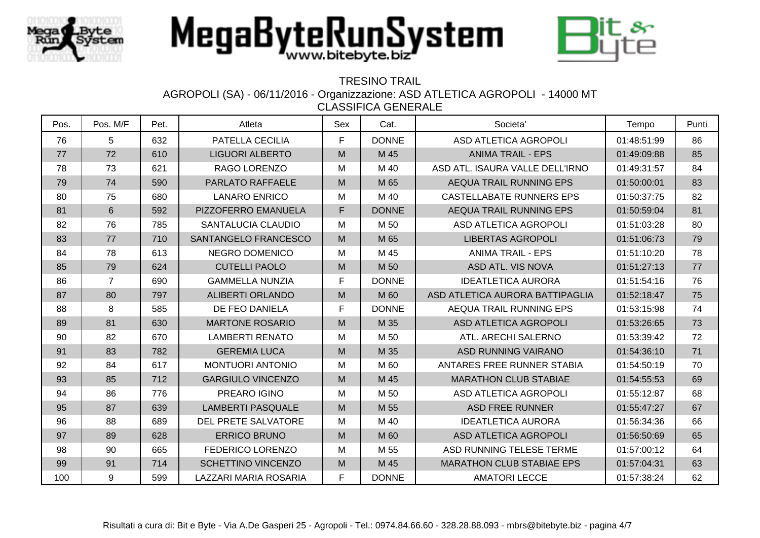



### TRESINO TRAIL

AGROPOLI (SA) - 06/11/2016 - Organizzazione: ASD ATLETICA AGROPOLI - 14000 MT

| Pos. | Pos. M/F       | Pet. | Atleta                    | Sex | Cat.         | Societa'                         | Tempo       | Punti |
|------|----------------|------|---------------------------|-----|--------------|----------------------------------|-------------|-------|
| 76   | 5              | 632  | PATELLA CECILIA           | F   | <b>DONNE</b> | ASD ATLETICA AGROPOLI            | 01:48:51:99 | 86    |
| 77   | 72             | 610  | <b>LIGUORI ALBERTO</b>    | M   | M 45         | <b>ANIMA TRAIL - EPS</b>         | 01:49:09:88 | 85    |
| 78   | 73             | 621  | RAGO LORENZO              | M   | M 40         | ASD ATL. ISAURA VALLE DELL'IRNO  | 01:49:31:57 | 84    |
| 79   | 74             | 590  | <b>PARLATO RAFFAELE</b>   | M   | M 65         | AEQUA TRAIL RUNNING EPS          | 01:50:00:01 | 83    |
| 80   | 75             | 680  | <b>LANARO ENRICO</b>      | M   | M 40         | <b>CASTELLABATE RUNNERS EPS</b>  | 01:50:37:75 | 82    |
| 81   | $6\phantom{1}$ | 592  | PIZZOFERRO EMANUELA       | F   | <b>DONNE</b> | AEQUA TRAIL RUNNING EPS          | 01:50:59:04 | 81    |
| 82   | 76             | 785  | SANTALUCIA CLAUDIO        | M   | M 50         | ASD ATLETICA AGROPOLI            | 01:51:03:28 | 80    |
| 83   | 77             | 710  | SANTANGELO FRANCESCO      | M   | M 65         | <b>LIBERTAS AGROPOLI</b>         | 01:51:06:73 | 79    |
| 84   | 78             | 613  | <b>NEGRO DOMENICO</b>     | M   | M 45         | <b>ANIMA TRAIL - EPS</b>         | 01:51:10:20 | 78    |
| 85   | 79             | 624  | <b>CUTELLI PAOLO</b>      | M   | M 50         | ASD ATL. VIS NOVA                | 01:51:27:13 | 77    |
| 86   | $\overline{7}$ | 690  | <b>GAMMELLA NUNZIA</b>    | F   | <b>DONNE</b> | <b>IDEATLETICA AURORA</b>        | 01:51:54:16 | 76    |
| 87   | 80             | 797  | <b>ALIBERTI ORLANDO</b>   | M   | M 60         | ASD ATLETICA AURORA BATTIPAGLIA  | 01:52:18:47 | 75    |
| 88   | 8              | 585  | DE FEO DANIELA            | F   | <b>DONNE</b> | AEQUA TRAIL RUNNING EPS          | 01:53:15:98 | 74    |
| 89   | 81             | 630  | <b>MARTONE ROSARIO</b>    | M   | M 35         | ASD ATLETICA AGROPOLI            | 01:53:26:65 | 73    |
| 90   | 82             | 670  | <b>LAMBERTI RENATO</b>    | М   | M 50         | ATL. ARECHI SALERNO              | 01:53:39:42 | 72    |
| 91   | 83             | 782  | <b>GEREMIA LUCA</b>       | M   | M 35         | ASD RUNNING VAIRANO              | 01:54:36:10 | 71    |
| 92   | 84             | 617  | <b>MONTUORI ANTONIO</b>   | M   | M 60         | ANTARES FREE RUNNER STABIA       | 01:54:50:19 | 70    |
| 93   | 85             | 712  | <b>GARGIULO VINCENZO</b>  | M   | M 45         | <b>MARATHON CLUB STABIAE</b>     | 01:54:55:53 | 69    |
| 94   | 86             | 776  | PREARO IGINO              | M   | M 50         | ASD ATLETICA AGROPOLI            | 01:55:12:87 | 68    |
| 95   | 87             | 639  | <b>LAMBERTI PASQUALE</b>  | M   | M 55         | <b>ASD FREE RUNNER</b>           | 01:55:47:27 | 67    |
| 96   | 88             | 689  | DEL PRETE SALVATORE       | М   | M 40         | <b>IDEATLETICA AURORA</b>        | 01:56:34:36 | 66    |
| 97   | 89             | 628  | <b>ERRICO BRUNO</b>       | M   | M 60         | <b>ASD ATLETICA AGROPOLI</b>     | 01:56:50:69 | 65    |
| 98   | 90             | 665  | <b>FEDERICO LORENZO</b>   | M   | M 55         | ASD RUNNING TELESE TERME         | 01:57:00:12 | 64    |
| 99   | 91             | 714  | <b>SCHETTINO VINCENZO</b> | M   | M 45         | <b>MARATHON CLUB STABIAE EPS</b> | 01:57:04:31 | 63    |
| 100  | 9              | 599  | LAZZARI MARIA ROSARIA     | F   | <b>DONNE</b> | <b>AMATORI LECCE</b>             | 01:57:38:24 | 62    |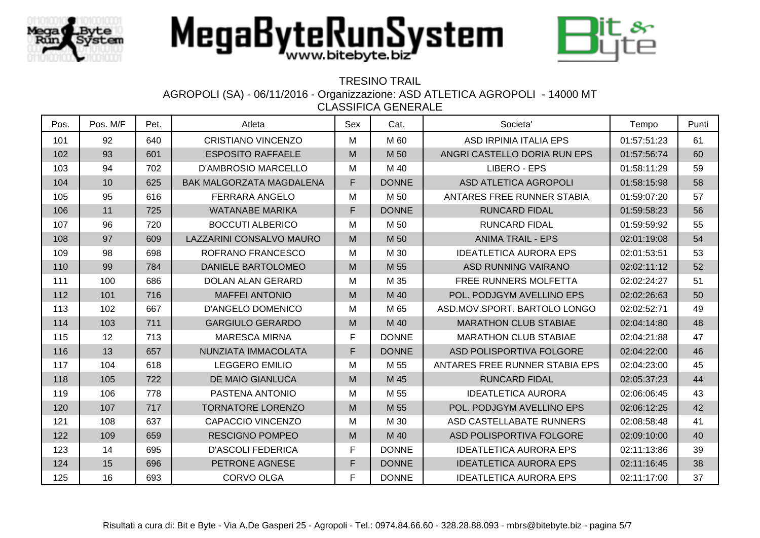



### TRESINO TRAIL

AGROPOLI (SA) - 06/11/2016 - Organizzazione: ASD ATLETICA AGROPOLI - 14000 MT

| Pos. | Pos. M/F | Pet. | Atleta                          | Sex | Cat.         | Societa'                       | Tempo       | Punti |
|------|----------|------|---------------------------------|-----|--------------|--------------------------------|-------------|-------|
| 101  | 92       | 640  | <b>CRISTIANO VINCENZO</b>       | M   | M 60         | ASD IRPINIA ITALIA EPS         | 01:57:51:23 | 61    |
| 102  | 93       | 601  | <b>ESPOSITO RAFFAELE</b>        | M   | M 50         | ANGRI CASTELLO DORIA RUN EPS   | 01:57:56:74 | 60    |
| 103  | 94       | 702  | <b>D'AMBROSIO MARCELLO</b>      | M   | M 40         | <b>LIBERO - EPS</b>            | 01:58:11:29 | 59    |
| 104  | 10       | 625  | <b>BAK MALGORZATA MAGDALENA</b> | F   | <b>DONNE</b> | ASD ATLETICA AGROPOLI          | 01:58:15:98 | 58    |
| 105  | 95       | 616  | <b>FERRARA ANGELO</b>           | M   | M 50         | ANTARES FREE RUNNER STABIA     | 01:59:07:20 | 57    |
| 106  | 11       | 725  | <b>WATANABE MARIKA</b>          | F   | <b>DONNE</b> | <b>RUNCARD FIDAL</b>           | 01:59:58:23 | 56    |
| 107  | 96       | 720  | <b>BOCCUTI ALBERICO</b>         | M   | M 50         | <b>RUNCARD FIDAL</b>           | 01:59:59:92 | 55    |
| 108  | 97       | 609  | LAZZARINI CONSALVO MAURO        | M   | M 50         | <b>ANIMA TRAIL - EPS</b>       | 02:01:19:08 | 54    |
| 109  | 98       | 698  | ROFRANO FRANCESCO               | M   | M 30         | <b>IDEATLETICA AURORA EPS</b>  | 02:01:53:51 | 53    |
| 110  | 99       | 784  | DANIELE BARTOLOMEO              | M   | M 55         | ASD RUNNING VAIRANO            | 02:02:11:12 | 52    |
| 111  | 100      | 686  | <b>DOLAN ALAN GERARD</b>        | M   | M 35         | <b>FREE RUNNERS MOLFETTA</b>   | 02:02:24:27 | 51    |
| 112  | 101      | 716  | <b>MAFFEI ANTONIO</b>           | M   | M 40         | POL. PODJGYM AVELLINO EPS      | 02:02:26:63 | 50    |
| 113  | 102      | 667  | <b>D'ANGELO DOMENICO</b>        | M   | M 65         | ASD.MOV.SPORT. BARTOLO LONGO   | 02:02:52:71 | 49    |
| 114  | 103      | 711  | <b>GARGIULO GERARDO</b>         | M   | M 40         | <b>MARATHON CLUB STABIAE</b>   | 02:04:14:80 | 48    |
| 115  | 12       | 713  | <b>MARESCA MIRNA</b>            | F   | <b>DONNE</b> | <b>MARATHON CLUB STABIAE</b>   | 02:04:21:88 | 47    |
| 116  | 13       | 657  | NUNZIATA IMMACOLATA             | F   | <b>DONNE</b> | ASD POLISPORTIVA FOLGORE       | 02:04:22:00 | 46    |
| 117  | 104      | 618  | <b>LEGGERO EMILIO</b>           | M   | M 55         | ANTARES FREE RUNNER STABIA EPS | 02:04:23:00 | 45    |
| 118  | 105      | 722  | <b>DE MAIO GIANLUCA</b>         | M   | M 45         | <b>RUNCARD FIDAL</b>           | 02:05:37:23 | 44    |
| 119  | 106      | 778  | PASTENA ANTONIO                 | M   | M 55         | <b>IDEATLETICA AURORA</b>      | 02:06:06:45 | 43    |
| 120  | 107      | 717  | <b>TORNATORE LORENZO</b>        | M   | M 55         | POL. PODJGYM AVELLINO EPS      | 02:06:12:25 | 42    |
| 121  | 108      | 637  | <b>CAPACCIO VINCENZO</b>        | M   | M 30         | ASD CASTELLABATE RUNNERS       | 02:08:58:48 | 41    |
| 122  | 109      | 659  | <b>RESCIGNO POMPEO</b>          | M   | M 40         | ASD POLISPORTIVA FOLGORE       | 02:09:10:00 | 40    |
| 123  | 14       | 695  | <b>D'ASCOLI FEDERICA</b>        | F   | <b>DONNE</b> | <b>IDEATLETICA AURORA EPS</b>  | 02:11:13:86 | 39    |
| 124  | 15       | 696  | PETRONE AGNESE                  | F   | <b>DONNE</b> | <b>IDEATLETICA AURORA EPS</b>  | 02:11:16:45 | 38    |
| 125  | 16       | 693  | <b>CORVO OLGA</b>               | F   | <b>DONNE</b> | <b>IDEATLETICA AURORA EPS</b>  | 02:11:17:00 | 37    |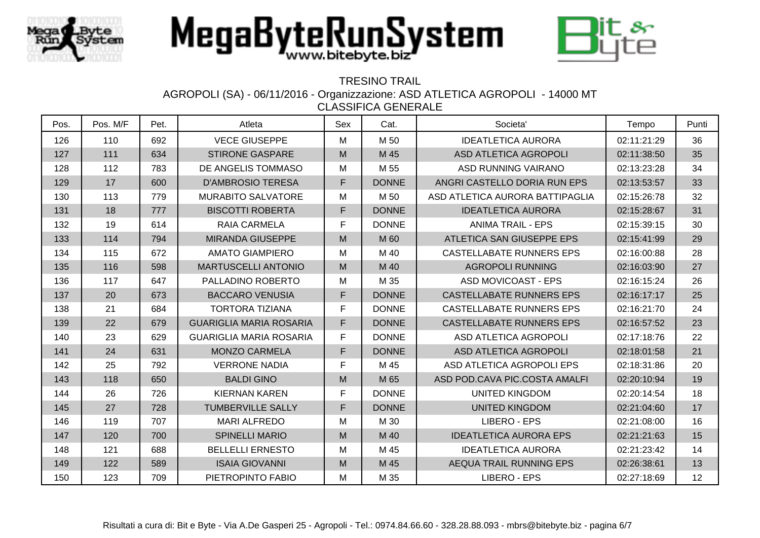



### TRESINO TRAIL

AGROPOLI (SA) - 06/11/2016 - Organizzazione: ASD ATLETICA AGROPOLI - 14000 MT

| Pos. | Pos. M/F | Pet. | Atleta                         | Sex | Cat.         | Societa'                        | Tempo       | Punti |
|------|----------|------|--------------------------------|-----|--------------|---------------------------------|-------------|-------|
| 126  | 110      | 692  | <b>VECE GIUSEPPE</b>           | M   | M 50         | <b>IDEATLETICA AURORA</b>       | 02:11:21:29 | 36    |
| 127  | 111      | 634  | <b>STIRONE GASPARE</b>         | M   | M 45         | ASD ATLETICA AGROPOLI           | 02:11:38:50 | 35    |
| 128  | 112      | 783  | DE ANGELIS TOMMASO             | M   | M 55         | ASD RUNNING VAIRANO             | 02:13:23:28 | 34    |
| 129  | 17       | 600  | <b>D'AMBROSIO TERESA</b>       | F   | <b>DONNE</b> | ANGRI CASTELLO DORIA RUN EPS    | 02:13:53:57 | 33    |
| 130  | 113      | 779  | <b>MURABITO SALVATORE</b>      | M   | M 50         | ASD ATLETICA AURORA BATTIPAGLIA | 02:15:26:78 | 32    |
| 131  | 18       | 777  | <b>BISCOTTI ROBERTA</b>        | F   | <b>DONNE</b> | <b>IDEATLETICA AURORA</b>       | 02:15:28:67 | 31    |
| 132  | 19       | 614  | <b>RAIA CARMELA</b>            | F   | <b>DONNE</b> | <b>ANIMA TRAIL - EPS</b>        | 02:15:39:15 | 30    |
| 133  | 114      | 794  | <b>MIRANDA GIUSEPPE</b>        | M   | M 60         | ATLETICA SAN GIUSEPPE EPS       | 02:15:41:99 | 29    |
| 134  | 115      | 672  | <b>AMATO GIAMPIERO</b>         | M   | M 40         | CASTELLABATE RUNNERS EPS        | 02:16:00:88 | 28    |
| 135  | 116      | 598  | <b>MARTUSCELLI ANTONIO</b>     | M   | M 40         | <b>AGROPOLI RUNNING</b>         | 02:16:03:90 | 27    |
| 136  | 117      | 647  | PALLADINO ROBERTO              | M   | M 35         | ASD MOVICOAST - EPS             | 02:16:15:24 | 26    |
| 137  | 20       | 673  | <b>BACCARO VENUSIA</b>         | F   | <b>DONNE</b> | <b>CASTELLABATE RUNNERS EPS</b> | 02:16:17:17 | 25    |
| 138  | 21       | 684  | <b>TORTORA TIZIANA</b>         | F   | <b>DONNE</b> | <b>CASTELLABATE RUNNERS EPS</b> | 02:16:21:70 | 24    |
| 139  | 22       | 679  | <b>GUARIGLIA MARIA ROSARIA</b> | F   | <b>DONNE</b> | <b>CASTELLABATE RUNNERS EPS</b> | 02:16:57:52 | 23    |
| 140  | 23       | 629  | <b>GUARIGLIA MARIA ROSARIA</b> | F   | <b>DONNE</b> | ASD ATLETICA AGROPOLI           | 02:17:18:76 | 22    |
| 141  | 24       | 631  | <b>MONZO CARMELA</b>           | F   | <b>DONNE</b> | <b>ASD ATLETICA AGROPOLI</b>    | 02:18:01:58 | 21    |
| 142  | 25       | 792  | <b>VERRONE NADIA</b>           | F   | M 45         | ASD ATLETICA AGROPOLI EPS       | 02:18:31:86 | 20    |
| 143  | 118      | 650  | <b>BALDI GINO</b>              | M   | M 65         | ASD POD.CAVA PIC.COSTA AMALFI   | 02:20:10:94 | 19    |
| 144  | 26       | 726  | <b>KIERNAN KAREN</b>           | F   | <b>DONNE</b> | <b>UNITED KINGDOM</b>           | 02:20:14:54 | 18    |
| 145  | 27       | 728  | <b>TUMBERVILLE SALLY</b>       | F   | <b>DONNE</b> | <b>UNITED KINGDOM</b>           | 02:21:04:60 | 17    |
| 146  | 119      | 707  | <b>MARI ALFREDO</b>            | M   | M 30         | <b>LIBERO - EPS</b>             | 02:21:08:00 | 16    |
| 147  | 120      | 700  | <b>SPINELLI MARIO</b>          | M   | M 40         | <b>IDEATLETICA AURORA EPS</b>   | 02:21:21:63 | 15    |
| 148  | 121      | 688  | <b>BELLELLI ERNESTO</b>        | M   | M 45         | <b>IDEATLETICA AURORA</b>       | 02:21:23:42 | 14    |
| 149  | 122      | 589  | <b>ISAIA GIOVANNI</b>          | M   | M 45         | AEQUA TRAIL RUNNING EPS         | 02:26:38:61 | 13    |
| 150  | 123      | 709  | PIETROPINTO FABIO              | M   | M 35         | LIBERO - EPS                    | 02:27:18:69 | 12    |